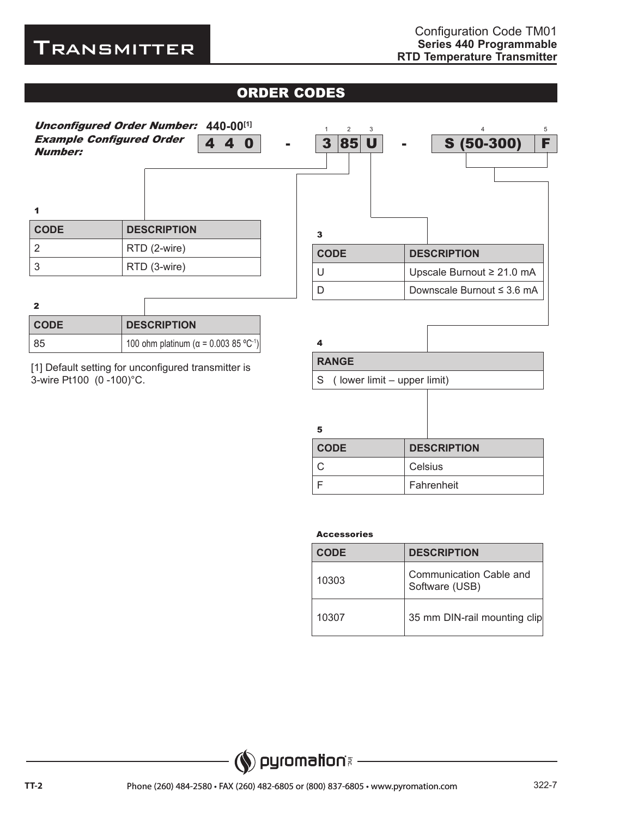#### ORDER CODES

| <b>Number:</b>          | <b>Unconfigured Order Number: 440-00[1]</b><br><b>Example Configured Order</b><br>$\overline{\mathbf{4}}$<br>4<br>$\bf{0}$ | 2<br>3<br>1<br><b>85 U</b><br>3 | 4<br>$S(50-300)$               |
|-------------------------|----------------------------------------------------------------------------------------------------------------------------|---------------------------------|--------------------------------|
| 1<br><b>CODE</b>        | <b>DESCRIPTION</b>                                                                                                         | $\mathbf{3}$                    |                                |
| $\overline{2}$          | RTD (2-wire)                                                                                                               | <b>CODE</b>                     | <b>DESCRIPTION</b>             |
| 3                       | RTD (3-wire)                                                                                                               | U                               | Upscale Burnout $\geq 21.0$ mA |
|                         |                                                                                                                            | D                               | Downscale Burnout ≤ 3.6 mA     |
| $\mathbf{2}$            |                                                                                                                            |                                 |                                |
| <b>CODE</b>             | <b>DESCRIPTION</b>                                                                                                         |                                 |                                |
| 85                      | 100 ohm platinum ( $\alpha$ = 0.003 85 °C <sup>-1</sup> )                                                                  | 4                               |                                |
|                         | [1] Default setting for unconfigured transmitter is                                                                        | <b>RANGE</b>                    |                                |
| 3-wire Pt100 (0-100)°C. |                                                                                                                            | S.                              | (lower limit – upper limit)    |
|                         |                                                                                                                            |                                 |                                |
|                         |                                                                                                                            |                                 |                                |
|                         |                                                                                                                            | 5                               |                                |
|                         |                                                                                                                            | <b>CODE</b>                     | <b>DESCRIPTION</b>             |
|                         |                                                                                                                            | C                               | Celsius                        |
|                         |                                                                                                                            | F                               | Fahrenheit                     |

#### Accessories

| <b>CODE</b> | <b>DESCRIPTION</b>                        |  |  |  |  |  |  |
|-------------|-------------------------------------------|--|--|--|--|--|--|
| 10303       | Communication Cable and<br>Software (USB) |  |  |  |  |  |  |
| 10307       | 35 mm DIN-rail mounting clip              |  |  |  |  |  |  |

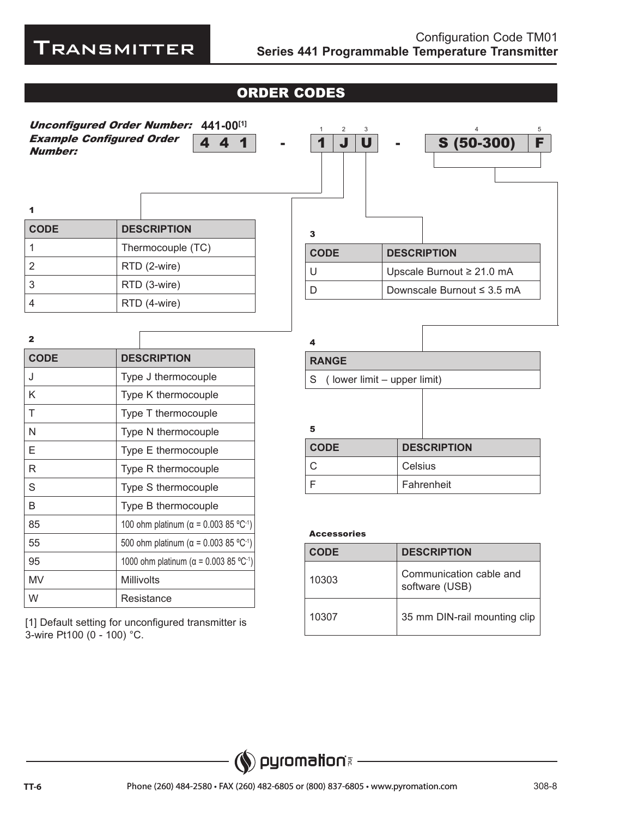### Transmitter

### ORDER CODES



[1] Default setting for unconfigured transmitter is 3-wire Pt100 (0 - 100) °C.

| <b>CODE</b> | <b>DESCRIPTION</b>                        |  |  |  |  |  |  |  |
|-------------|-------------------------------------------|--|--|--|--|--|--|--|
| 10303       | Communication cable and<br>software (USB) |  |  |  |  |  |  |  |
| 10307       | 35 mm DIN-rail mounting clip              |  |  |  |  |  |  |  |

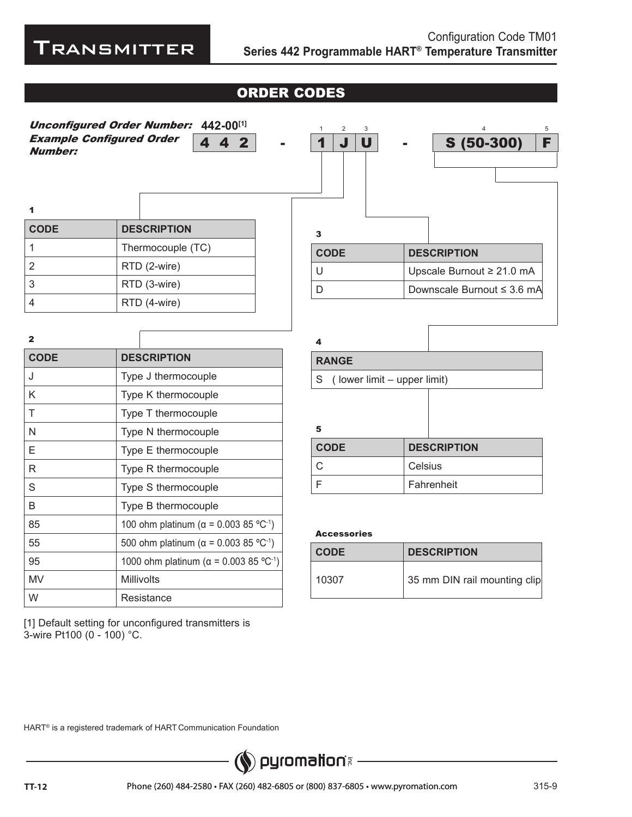### **T**RANSMITTER

### ORDER CODES

| <b>Number:</b>            | <b>Unconfigured Order Number: 442-00[1]</b><br><b>Example Configured Order</b><br>44<br>$\mathbf{2}$ | 1<br>3<br>$\mathbf U$<br>J<br>$\blacktriangleleft$ | $\overline{4}$<br>5<br>$S(50-300)$<br>F |
|---------------------------|------------------------------------------------------------------------------------------------------|----------------------------------------------------|-----------------------------------------|
| 1                         |                                                                                                      |                                                    |                                         |
| <b>CODE</b>               | <b>DESCRIPTION</b>                                                                                   | $\mathbf{3}$                                       |                                         |
| $\mathbf{1}$              | Thermocouple (TC)                                                                                    | <b>CODE</b>                                        | <b>DESCRIPTION</b>                      |
| $\overline{2}$            | RTD (2-wire)                                                                                         | U                                                  | Upscale Burnout $\geq 21.0$ mA          |
| $\ensuremath{\mathsf{3}}$ | RTD (3-wire)                                                                                         | D                                                  | Downscale Burnout ≤ 3.6 mA              |
| $\overline{4}$            | RTD (4-wire)                                                                                         |                                                    |                                         |
| $\mathbf{2}$              |                                                                                                      | 4                                                  |                                         |
| <b>CODE</b>               | <b>DESCRIPTION</b>                                                                                   | <b>RANGE</b>                                       |                                         |
| J                         | Type J thermocouple                                                                                  | $\mathbf S$                                        | (lower limit – upper limit)             |
| K                         | Type K thermocouple                                                                                  |                                                    |                                         |
| $\top$                    | Type T thermocouple                                                                                  |                                                    |                                         |
| $\mathsf{N}$              | Type N thermocouple                                                                                  | 5                                                  |                                         |
| Е                         | Type E thermocouple                                                                                  | <b>CODE</b>                                        | <b>DESCRIPTION</b>                      |
| $\mathsf{R}$              | Type R thermocouple                                                                                  | $\mathsf C$                                        | Celsius                                 |
| $\mathbf S$               | Type S thermocouple                                                                                  | F                                                  | Fahrenheit                              |
| B                         | Type B thermocouple                                                                                  |                                                    |                                         |
| 85                        | 100 ohm platinum ( $\alpha$ = 0.003 85 °C <sup>-1</sup> )                                            | <b>Accessories</b>                                 |                                         |
| 55                        | 500 ohm platinum ( $\alpha$ = 0.003 85 °C <sup>-1</sup> )                                            | <b>CODE</b>                                        |                                         |
| 95                        | 1000 ohm platinum ( $\alpha$ = 0.003 85 °C <sup>-1</sup> )                                           |                                                    | <b>DESCRIPTION</b>                      |
| <b>MV</b>                 | Millivolts                                                                                           | 10307                                              | 35 mm DIN rail mounting clip            |
| W                         | Resistance                                                                                           |                                                    |                                         |

[1] Default setting for unconfigured transmitters is 3-wire Pt100 (0 - 100) °C.

HART<sup>®</sup> is a registered trademark of HART Communication Foundation

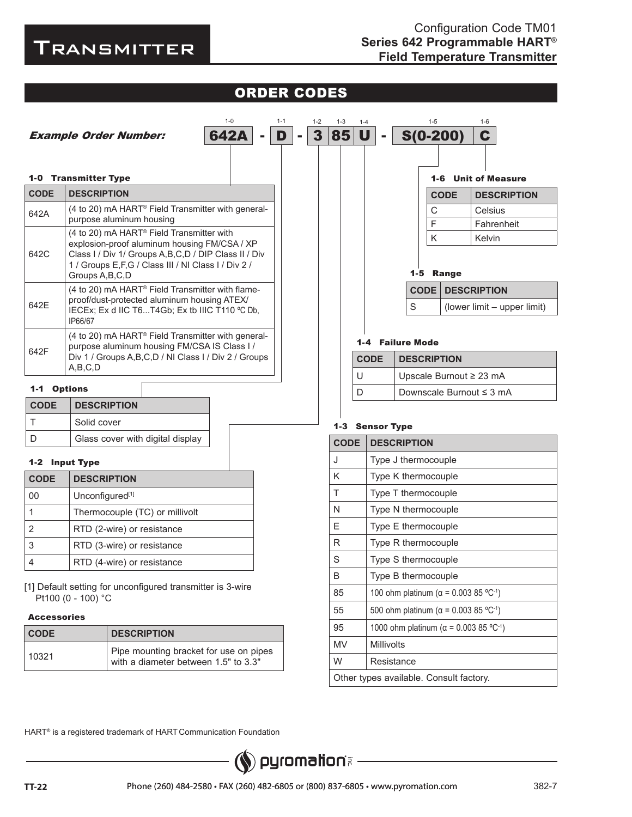## **TRANSMITTER**

|                              | <b>ORDER CODES</b>                         |                                                                                                         |  |  |  |  |                           |         |                                                                 |                     |                                       |                     |             |                     |                                                            |  |  |  |
|------------------------------|--------------------------------------------|---------------------------------------------------------------------------------------------------------|--|--|--|--|---------------------------|---------|-----------------------------------------------------------------|---------------------|---------------------------------------|---------------------|-------------|---------------------|------------------------------------------------------------|--|--|--|
|                              |                                            | $1 - 0$<br>$1 - 2$                                                                                      |  |  |  |  |                           |         |                                                                 |                     |                                       |                     |             |                     |                                                            |  |  |  |
| <b>Example Order Number:</b> | <b>642A</b>                                | $1 - 1$<br>D<br>$\blacksquare$                                                                          |  |  |  |  | $1 - 3$<br>$ 85 $ U $ $ - | $1 - 4$ |                                                                 |                     | $1 - 5$<br>$1 - 6$<br>$S(0-200)$<br>C |                     |             |                     |                                                            |  |  |  |
|                              |                                            |                                                                                                         |  |  |  |  | $\overline{\mathbf{3}}$   |         |                                                                 |                     |                                       |                     |             |                     |                                                            |  |  |  |
|                              |                                            |                                                                                                         |  |  |  |  |                           |         |                                                                 |                     |                                       |                     |             |                     |                                                            |  |  |  |
| <b>CODE</b>                  | 1-0 Transmitter Type<br><b>DESCRIPTION</b> |                                                                                                         |  |  |  |  |                           |         |                                                                 |                     |                                       |                     |             |                     | 1-6 Unit of Measure                                        |  |  |  |
|                              |                                            | (4 to 20) mA HART <sup>®</sup> Field Transmitter with general-                                          |  |  |  |  |                           |         |                                                                 |                     |                                       |                     |             | <b>CODE</b>         | <b>DESCRIPTION</b>                                         |  |  |  |
| 642A                         |                                            | purpose aluminum housing                                                                                |  |  |  |  |                           |         |                                                                 |                     |                                       |                     | C<br>F      |                     | Celsius<br>Fahrenheit                                      |  |  |  |
|                              |                                            | (4 to 20) mA HART <sup>®</sup> Field Transmitter with                                                   |  |  |  |  |                           |         |                                                                 |                     |                                       |                     | K           |                     | Kelvin                                                     |  |  |  |
| 642C                         |                                            | explosion-proof aluminum housing FM/CSA / XP<br>Class I / Div 1/ Groups A, B, C, D / DIP Class II / Div |  |  |  |  |                           |         |                                                                 |                     |                                       |                     |             |                     |                                                            |  |  |  |
|                              |                                            | 1 / Groups E, F, G / Class III / NI Class I / Div 2 /                                                   |  |  |  |  |                           |         |                                                                 |                     |                                       |                     |             |                     |                                                            |  |  |  |
|                              | Groups A, B, C, D                          | (4 to 20) mA HART <sup>®</sup> Field Transmitter with flame-                                            |  |  |  |  |                           |         |                                                                 |                     |                                       |                     | <b>CODE</b> | 1-5 Range           | <b>DESCRIPTION</b>                                         |  |  |  |
| 642E                         |                                            | proof/dust-protected aluminum housing ATEX/                                                             |  |  |  |  |                           |         |                                                                 |                     |                                       |                     |             |                     |                                                            |  |  |  |
|                              | IP66/67                                    | IECEx; Ex d IIC T6T4Gb; Ex tb IIIC T110 °C Db,                                                          |  |  |  |  |                           |         |                                                                 |                     |                                       | S                   |             |                     | (lower limit – upper limit)                                |  |  |  |
|                              |                                            | (4 to 20) mA HART® Field Transmitter with general-                                                      |  |  |  |  |                           |         |                                                                 |                     |                                       |                     |             |                     |                                                            |  |  |  |
| 642F                         |                                            | purpose aluminum housing FM/CSA IS Class I /                                                            |  |  |  |  |                           |         |                                                                 |                     |                                       | 1-4 Failure Mode    |             | <b>DESCRIPTION</b>  |                                                            |  |  |  |
|                              | A,B,C,D                                    | Div 1 / Groups A, B, C, D / NI Class I / Div 2 / Groups                                                 |  |  |  |  |                           |         |                                                                 | <b>CODE</b>         |                                       |                     |             |                     |                                                            |  |  |  |
| 1-1 Options                  |                                            |                                                                                                         |  |  |  |  |                           |         |                                                                 | U                   | Upscale Burnout ≥ 23 mA               |                     |             |                     |                                                            |  |  |  |
| <b>CODE</b>                  | <b>DESCRIPTION</b>                         |                                                                                                         |  |  |  |  |                           |         |                                                                 | D                   | Downscale Burnout ≤ 3 mA              |                     |             |                     |                                                            |  |  |  |
| Τ                            | Solid cover                                |                                                                                                         |  |  |  |  |                           |         |                                                                 |                     |                                       |                     |             |                     |                                                            |  |  |  |
| D                            |                                            | Glass cover with digital display                                                                        |  |  |  |  |                           |         | 1-3 Sensor Type                                                 |                     |                                       |                     |             |                     |                                                            |  |  |  |
|                              |                                            |                                                                                                         |  |  |  |  |                           |         | <b>CODE</b>                                                     |                     | <b>DESCRIPTION</b>                    |                     |             |                     |                                                            |  |  |  |
|                              | 1-2 Input Type                             |                                                                                                         |  |  |  |  |                           | J       | Type J thermocouple                                             |                     |                                       |                     |             |                     |                                                            |  |  |  |
| <b>CODE</b>                  | <b>DESCRIPTION</b>                         |                                                                                                         |  |  |  |  |                           | K       |                                                                 | Type K thermocouple |                                       |                     |             |                     |                                                            |  |  |  |
| 00                           | Unconfigured <sup>[1]</sup>                |                                                                                                         |  |  |  |  |                           | $\top$  |                                                                 |                     |                                       |                     |             | Type T thermocouple |                                                            |  |  |  |
| 1                            |                                            | Thermocouple (TC) or millivolt                                                                          |  |  |  |  |                           | N       |                                                                 |                     | Type N thermocouple                   |                     |             |                     |                                                            |  |  |  |
| 2                            |                                            | RTD (2-wire) or resistance                                                                              |  |  |  |  |                           | Ε       |                                                                 |                     |                                       | Type E thermocouple |             |                     |                                                            |  |  |  |
| 3                            |                                            | RTD (3-wire) or resistance                                                                              |  |  |  |  |                           | R       |                                                                 | Type R thermocouple |                                       |                     |             |                     |                                                            |  |  |  |
| 4                            | RTD (4-wire) or resistance                 |                                                                                                         |  |  |  |  |                           | S       | Type S thermocouple                                             |                     |                                       |                     |             |                     |                                                            |  |  |  |
|                              |                                            |                                                                                                         |  |  |  |  |                           |         | B<br>Type B thermocouple                                        |                     |                                       |                     |             |                     |                                                            |  |  |  |
|                              | Pt100 (0 - 100) °C                         | [1] Default setting for unconfigured transmitter is 3-wire                                              |  |  |  |  |                           |         | 100 ohm platinum ( $\alpha$ = 0.003 85 °C <sup>-1</sup> )<br>85 |                     |                                       |                     |             |                     |                                                            |  |  |  |
| <b>Accessories</b>           |                                            |                                                                                                         |  |  |  |  |                           | 55      |                                                                 |                     |                                       |                     |             |                     | 500 ohm platinum ( $\alpha$ = 0.003 85 °C <sup>-1</sup> )  |  |  |  |
| <b>CODE</b>                  |                                            | <b>DESCRIPTION</b>                                                                                      |  |  |  |  |                           | 95      |                                                                 |                     |                                       |                     |             |                     | 1000 ohm platinum ( $\alpha$ = 0.003 85 °C <sup>-1</sup> ) |  |  |  |
|                              |                                            | Pipe mounting bracket for use on pipes                                                                  |  |  |  |  |                           |         | <b>MV</b>                                                       |                     | Millivolts                            |                     |             |                     |                                                            |  |  |  |
| 10321                        |                                            | with a diameter between 1.5" to 3.3"                                                                    |  |  |  |  |                           | W       |                                                                 |                     | Resistance                            |                     |             |                     |                                                            |  |  |  |
|                              |                                            |                                                                                                         |  |  |  |  |                           |         |                                                                 |                     |                                       |                     |             |                     |                                                            |  |  |  |

Other types available. Consult factory.

HART<sup>®</sup> is a registered trademark of HART Communication Foundation